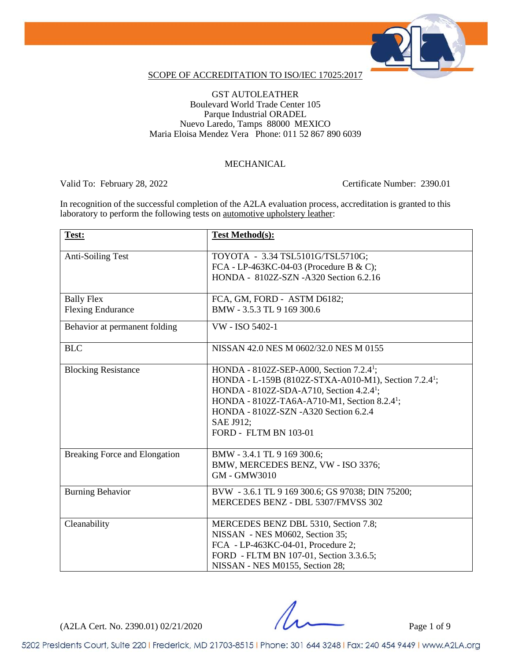

### SCOPE OF ACCREDITATION TO ISO/IEC 17025:2017

### GST AUTOLEATHER Boulevard World Trade Center 105 Parque Industrial ORADEL Nuevo Laredo, Tamps 88000 MEXICO Maria Eloisa Mendez Vera Phone: 011 52 867 890 6039

### MECHANICAL

Valid To: February 28, 2022 Certificate Number: 2390.01

In recognition of the successful completion of the A2LA evaluation process, accreditation is granted to this laboratory to perform the following tests on <u>automotive upholstery leather</u>:

| Test:                         | <b>Test Method(s):</b>                                            |
|-------------------------------|-------------------------------------------------------------------|
|                               |                                                                   |
| <b>Anti-Soiling Test</b>      | TOYOTA - 3.34 TSL5101G/TSL5710G;                                  |
|                               | FCA - LP-463KC-04-03 (Procedure B & C);                           |
|                               | HONDA - 8102Z-SZN -A320 Section 6.2.16                            |
| <b>Bally Flex</b>             | FCA, GM, FORD - ASTM D6182;                                       |
|                               | BMW - 3.5.3 TL 9 169 300.6                                        |
| <b>Flexing Endurance</b>      |                                                                   |
| Behavior at permanent folding | VW - ISO 5402-1                                                   |
| <b>BLC</b>                    | NISSAN 42.0 NES M 0602/32.0 NES M 0155                            |
|                               |                                                                   |
| <b>Blocking Resistance</b>    | HONDA - $8102Z$ -SEP-A000, Section 7.2.4 <sup>1</sup> ;           |
|                               | HONDA - L-159B (8102Z-STXA-A010-M1), Section 7.2.4 <sup>1</sup> ; |
|                               | HONDA - 8102Z-SDA-A710, Section 4.2.4 <sup>1</sup> ;              |
|                               | HONDA - 8102Z-TA6A-A710-M1, Section 8.2.4 <sup>1</sup> ;          |
|                               | HONDA - 8102Z-SZN - A320 Section 6.2.4                            |
|                               | SAE J912;                                                         |
|                               | <b>FORD - FLTM BN 103-01</b>                                      |
|                               |                                                                   |
| Breaking Force and Elongation | BMW - 3.4.1 TL 9 169 300.6;                                       |
|                               | BMW, MERCEDES BENZ, VW - ISO 3376;                                |
|                               | GM - GMW3010                                                      |
| <b>Burning Behavior</b>       | BVW - 3.6.1 TL 9 169 300.6; GS 97038; DIN 75200;                  |
|                               | MERCEDES BENZ - DBL 5307/FMVSS 302                                |
|                               |                                                                   |
| Cleanability                  | MERCEDES BENZ DBL 5310, Section 7.8;                              |
|                               | NISSAN - NES M0602, Section 35;                                   |
|                               | FCA - LP-463KC-04-01, Procedure 2;                                |
|                               | FORD - FLTM BN 107-01, Section 3.3.6.5;                           |
|                               | NISSAN - NES M0155, Section 28;                                   |

 $(A2LA$  Cert. No. 2390.01) 02/21/2020 Page 1 of 9

5202 Presidents Court, Suite 220 | Frederick, MD 21703-8515 | Phone: 301 644 3248 | Fax: 240 454 9449 | www.A2LA.org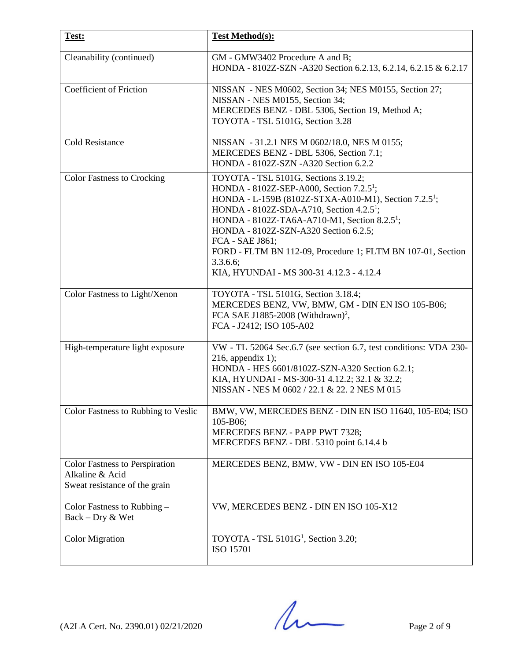| Test:                                                                                     | <b>Test Method(s):</b>                                                                                                                                                                                                                                                                                                                                                                                                                                                      |
|-------------------------------------------------------------------------------------------|-----------------------------------------------------------------------------------------------------------------------------------------------------------------------------------------------------------------------------------------------------------------------------------------------------------------------------------------------------------------------------------------------------------------------------------------------------------------------------|
| Cleanability (continued)                                                                  | GM - GMW3402 Procedure A and B;<br>HONDA - 8102Z-SZN - A320 Section 6.2.13, 6.2.14, 6.2.15 & 6.2.17                                                                                                                                                                                                                                                                                                                                                                         |
| <b>Coefficient of Friction</b>                                                            | NISSAN - NES M0602, Section 34; NES M0155, Section 27;<br>NISSAN - NES M0155, Section 34;<br>MERCEDES BENZ - DBL 5306, Section 19, Method A;<br>TOYOTA - TSL 5101G, Section 3.28                                                                                                                                                                                                                                                                                            |
| <b>Cold Resistance</b>                                                                    | NISSAN - 31.2.1 NES M 0602/18.0, NES M 0155;<br>MERCEDES BENZ - DBL 5306, Section 7.1;<br>HONDA - 8102Z-SZN - A320 Section 6.2.2                                                                                                                                                                                                                                                                                                                                            |
| <b>Color Fastness to Crocking</b>                                                         | TOYOTA - TSL 5101G, Sections 3.19.2;<br>HONDA - $8102Z$ -SEP-A000, Section 7.2.5 <sup>1</sup> ;<br>HONDA - L-159B (8102Z-STXA-A010-M1), Section 7.2.5 <sup>1</sup> ;<br>HONDA - 8102Z-SDA-A710, Section 4.2.5 <sup>1</sup> ;<br>HONDA - 8102Z-TA6A-A710-M1, Section 8.2.5 <sup>1</sup> ;<br>HONDA - 8102Z-SZN-A320 Section 6.2.5;<br>FCA - SAE J861;<br>FORD - FLTM BN 112-09, Procedure 1; FLTM BN 107-01, Section<br>3.3.6.6;<br>KIA, HYUNDAI - MS 300-31 4.12.3 - 4.12.4 |
| Color Fastness to Light/Xenon                                                             | TOYOTA - TSL 5101G, Section 3.18.4;<br>MERCEDES BENZ, VW, BMW, GM - DIN EN ISO 105-B06;<br>FCA SAE J1885-2008 (Withdrawn) <sup>2</sup> ,<br>FCA - J2412; ISO 105-A02                                                                                                                                                                                                                                                                                                        |
| High-temperature light exposure                                                           | VW - TL 52064 Sec.6.7 (see section 6.7, test conditions: VDA 230-<br>$216$ , appendix 1);<br>HONDA - HES 6601/8102Z-SZN-A320 Section 6.2.1;<br>KIA, HYUNDAI - MS-300-31 4.12.2; 32.1 & 32.2;<br>NISSAN - NES M 0602 / 22.1 & 22. 2 NES M 015                                                                                                                                                                                                                                |
| Color Fastness to Rubbing to Veslic                                                       | BMW, VW, MERCEDES BENZ - DIN EN ISO 11640, 105-E04; ISO<br>105-B06;<br>MERCEDES BENZ - PAPP PWT 7328;<br>MERCEDES BENZ - DBL 5310 point 6.14.4 b                                                                                                                                                                                                                                                                                                                            |
| <b>Color Fastness to Perspiration</b><br>Alkaline & Acid<br>Sweat resistance of the grain | MERCEDES BENZ, BMW, VW - DIN EN ISO 105-E04                                                                                                                                                                                                                                                                                                                                                                                                                                 |
| Color Fastness to Rubbing -<br>$Back - Dry & Wet$                                         | VW, MERCEDES BENZ - DIN EN ISO 105-X12                                                                                                                                                                                                                                                                                                                                                                                                                                      |
| <b>Color Migration</b>                                                                    | TOYOTA - TSL $5101G1$ , Section 3.20;<br>ISO 15701                                                                                                                                                                                                                                                                                                                                                                                                                          |

 $(A2LA$  Cert. No. 2390.01) 02/21/2020 Page 2 of 9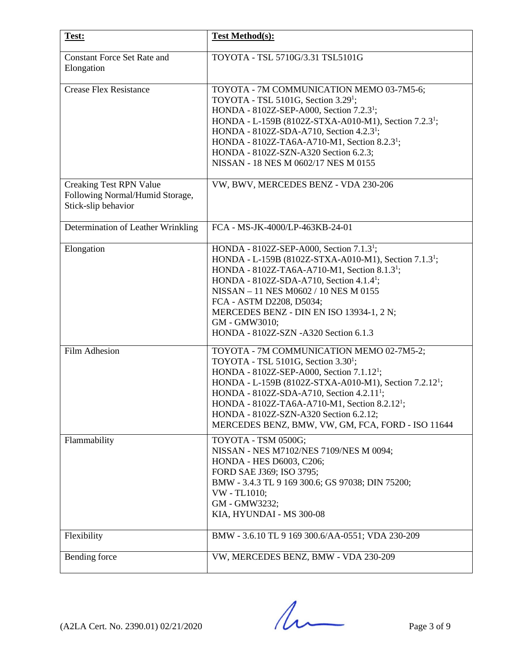| Test:                                                                                    | <b>Test Method(s):</b>                                                                                                                                                                                                                                                                                                                                                                                                                          |
|------------------------------------------------------------------------------------------|-------------------------------------------------------------------------------------------------------------------------------------------------------------------------------------------------------------------------------------------------------------------------------------------------------------------------------------------------------------------------------------------------------------------------------------------------|
| <b>Constant Force Set Rate and</b><br>Elongation                                         | TOYOTA - TSL 5710G/3.31 TSL5101G                                                                                                                                                                                                                                                                                                                                                                                                                |
| <b>Crease Flex Resistance</b>                                                            | TOYOTA - 7M COMMUNICATION MEMO 03-7M5-6;<br>TOYOTA - TSL 5101G, Section $3.291$ ;<br>HONDA - 8102Z-SEP-A000, Section 7.2.3 <sup>1</sup> ;<br>HONDA - L-159B (8102Z-STXA-A010-M1), Section 7.2.3 <sup>1</sup> ;<br>HONDA - 8102Z-SDA-A710, Section 4.2.3 <sup>1</sup> ;<br>HONDA - 8102Z-TA6A-A710-M1, Section 8.2.3 <sup>1</sup> ;<br>HONDA - 8102Z-SZN-A320 Section 6.2.3;<br>NISSAN - 18 NES M 0602/17 NES M 0155                             |
| <b>Creaking Test RPN Value</b><br>Following Normal/Humid Storage,<br>Stick-slip behavior | VW, BWV, MERCEDES BENZ - VDA 230-206                                                                                                                                                                                                                                                                                                                                                                                                            |
| Determination of Leather Wrinkling                                                       | FCA - MS-JK-4000/LP-463KB-24-01                                                                                                                                                                                                                                                                                                                                                                                                                 |
| Elongation                                                                               | HONDA - 8102Z-SEP-A000, Section 7.1.3 <sup>1</sup> ;<br>HONDA - L-159B (8102Z-STXA-A010-M1), Section 7.1.3 <sup>1</sup> ;<br>HONDA - 8102Z-TA6A-A710-M1, Section 8.1.3 <sup>1</sup> ;<br>HONDA - 8102Z-SDA-A710, Section 4.1.4 <sup>1</sup> ;<br>NISSAN - 11 NES M0602 / 10 NES M 0155<br>FCA - ASTM D2208, D5034;<br>MERCEDES BENZ - DIN EN ISO 13934-1, 2 N;<br>GM - GMW3010;<br>HONDA - 8102Z-SZN - A320 Section 6.1.3                       |
| Film Adhesion                                                                            | TOYOTA - 7M COMMUNICATION MEMO 02-7M5-2;<br>TOYOTA - TSL 5101G, Section 3.30 <sup>1</sup> ;<br>HONDA - 8102Z-SEP-A000, Section 7.1.12 <sup>1</sup> ;<br>HONDA - L-159B (8102Z-STXA-A010-M1), Section 7.2.12 <sup>1</sup> ;<br>HONDA - 8102Z-SDA-A710, Section 4.2.11 <sup>1</sup> ;<br>HONDA - 8102Z-TA6A-A710-M1, Section 8.2.12 <sup>1</sup> ;<br>HONDA - 8102Z-SZN-A320 Section 6.2.12;<br>MERCEDES BENZ, BMW, VW, GM, FCA, FORD - ISO 11644 |
| Flammability                                                                             | TOYOTA - TSM 0500G;<br>NISSAN - NES M7102/NES 7109/NES M 0094;<br>HONDA - HES D6003, C206;<br>FORD SAE J369; ISO 3795;<br>BMW - 3.4.3 TL 9 169 300.6; GS 97038; DIN 75200;<br>VW - TL1010;<br>GM - GMW3232;<br>KIA, HYUNDAI - MS 300-08                                                                                                                                                                                                         |
| Flexibility                                                                              | BMW - 3.6.10 TL 9 169 300.6/AA-0551; VDA 230-209                                                                                                                                                                                                                                                                                                                                                                                                |
| Bending force                                                                            | VW, MERCEDES BENZ, BMW - VDA 230-209                                                                                                                                                                                                                                                                                                                                                                                                            |

 $(A2LA$  Cert. No. 2390.01) 02/21/2020 Page 3 of 9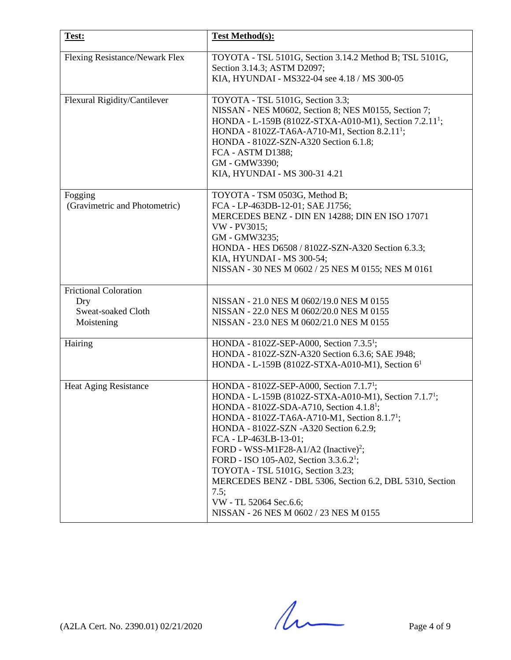| Test:                                    | <b>Test Method(s):</b>                                                                                                                                                                                                                                                                                                                                                                                                                                                                                                                                                                         |
|------------------------------------------|------------------------------------------------------------------------------------------------------------------------------------------------------------------------------------------------------------------------------------------------------------------------------------------------------------------------------------------------------------------------------------------------------------------------------------------------------------------------------------------------------------------------------------------------------------------------------------------------|
| Flexing Resistance/Newark Flex           | TOYOTA - TSL 5101G, Section 3.14.2 Method B; TSL 5101G,<br>Section 3.14.3; ASTM D2097;<br>KIA, HYUNDAI - MS322-04 see 4.18 / MS 300-05                                                                                                                                                                                                                                                                                                                                                                                                                                                         |
| Flexural Rigidity/Cantilever             | TOYOTA - TSL 5101G, Section 3.3;<br>NISSAN - NES M0602, Section 8; NES M0155, Section 7;<br>HONDA - L-159B (8102Z-STXA-A010-M1), Section 7.2.11 <sup>1</sup> ;<br>HONDA - 8102Z-TA6A-A710-M1, Section 8.2.11 <sup>1</sup> ;<br>HONDA - 8102Z-SZN-A320 Section 6.1.8;<br>FCA - ASTM D1388;<br>GM - GMW3390;<br>KIA, HYUNDAI - MS 300-31 4.21                                                                                                                                                                                                                                                    |
| Fogging<br>(Gravimetric and Photometric) | TOYOTA - TSM 0503G, Method B;<br>FCA - LP-463DB-12-01; SAE J1756;<br>MERCEDES BENZ - DIN EN 14288; DIN EN ISO 17071<br>VW - PV3015;<br>GM - GMW3235;<br>HONDA - HES D6508 / 8102Z-SZN-A320 Section 6.3.3;<br>KIA, HYUNDAI - MS 300-54;<br>NISSAN - 30 NES M 0602 / 25 NES M 0155; NES M 0161                                                                                                                                                                                                                                                                                                   |
| <b>Frictional Coloration</b>             | NISSAN - 21.0 NES M 0602/19.0 NES M 0155                                                                                                                                                                                                                                                                                                                                                                                                                                                                                                                                                       |
| Dry<br>Sweat-soaked Cloth<br>Moistening  | NISSAN - 22.0 NES M 0602/20.0 NES M 0155<br>NISSAN - 23.0 NES M 0602/21.0 NES M 0155                                                                                                                                                                                                                                                                                                                                                                                                                                                                                                           |
| Hairing                                  | HONDA - 8102Z-SEP-A000, Section 7.3.5 <sup>1</sup> ;<br>HONDA - 8102Z-SZN-A320 Section 6.3.6; SAE J948;<br>HONDA - L-159B (8102Z-STXA-A010-M1), Section 6 <sup>1</sup>                                                                                                                                                                                                                                                                                                                                                                                                                         |
| <b>Heat Aging Resistance</b>             | HONDA - 8102Z-SEP-A000, Section 7.1.7 <sup>1</sup> ;<br>HONDA - L-159B (8102Z-STXA-A010-M1), Section 7.1.7 <sup>1</sup> ;<br>HONDA - 8102Z-SDA-A710, Section 4.1.8 <sup>1</sup> ;<br>HONDA - 8102Z-TA6A-A710-M1, Section 8.1.7 <sup>1</sup> ;<br>HONDA - 8102Z-SZN -A320 Section 6.2.9;<br>FCA - LP-463LB-13-01;<br>FORD - WSS-M1F28-A1/A2 (Inactive) <sup>2</sup> ;<br>FORD - ISO 105-A02, Section $3.3.6.2^1$ ;<br>TOYOTA - TSL 5101G, Section 3.23;<br>MERCEDES BENZ - DBL 5306, Section 6.2, DBL 5310, Section<br>7.5;<br>VW - TL 52064 Sec.6.6;<br>NISSAN - 26 NES M 0602 / 23 NES M 0155 |

 $(A2LA$  Cert. No. 2390.01) 02/21/2020 Page 4 of 9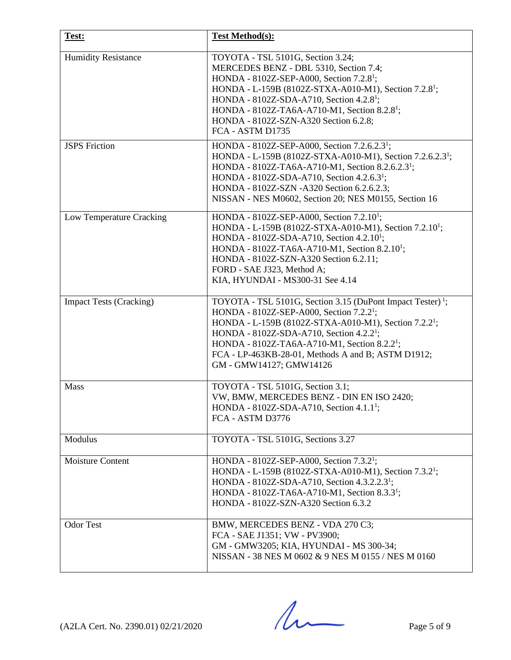| Test:                          | <b>Test Method(s):</b>                                                                                                                                                                                                                                                                                                                                                                                   |
|--------------------------------|----------------------------------------------------------------------------------------------------------------------------------------------------------------------------------------------------------------------------------------------------------------------------------------------------------------------------------------------------------------------------------------------------------|
| <b>Humidity Resistance</b>     | TOYOTA - TSL 5101G, Section 3.24;<br>MERCEDES BENZ - DBL 5310, Section 7.4;<br>HONDA - 8102Z-SEP-A000, Section 7.2.8 <sup>1</sup> ;<br>HONDA - L-159B (8102Z-STXA-A010-M1), Section 7.2.8 <sup>1</sup> ;<br>HONDA - 8102Z-SDA-A710, Section 4.2.8 <sup>1</sup> ;<br>HONDA - 8102Z-TA6A-A710-M1, Section 8.2.8 <sup>1</sup> ;<br>HONDA - 8102Z-SZN-A320 Section 6.2.8;<br>FCA - ASTM D1735                |
| <b>JSPS</b> Friction           | HONDA - 8102Z-SEP-A000, Section 7.2.6.2.3 <sup>1</sup> ;<br>HONDA - L-159B (8102Z-STXA-A010-M1), Section 7.2.6.2.3 <sup>1</sup> ;<br>HONDA - 8102Z-TA6A-A710-M1, Section 8.2.6.2.3 <sup>1</sup> ;<br>HONDA - 8102Z-SDA-A710, Section 4.2.6.3 <sup>1</sup> ;<br>HONDA - 8102Z-SZN -A320 Section 6.2.6.2.3;<br>NISSAN - NES M0602, Section 20; NES M0155, Section 16                                       |
| Low Temperature Cracking       | HONDA - 8102Z-SEP-A000, Section 7.2.10 <sup>1</sup> ;<br>HONDA - L-159B (8102Z-STXA-A010-M1), Section 7.2.10 <sup>1</sup> ;<br>HONDA - 8102Z-SDA-A710, Section 4.2.10 <sup>1</sup> ;<br>HONDA - 8102Z-TA6A-A710-M1, Section 8.2.10 <sup>1</sup> ;<br>HONDA - 8102Z-SZN-A320 Section 6.2.11;<br>FORD - SAE J323, Method A;<br>KIA, HYUNDAI - MS300-31 See 4.14                                            |
| <b>Impact Tests (Cracking)</b> | TOYOTA - TSL 5101G, Section 3.15 (DuPont Impact Tester) <sup>1</sup> ;<br>HONDA - 8102Z-SEP-A000, Section 7.2.2 <sup>1</sup> ;<br>HONDA - L-159B (8102Z-STXA-A010-M1), Section 7.2.2 <sup>1</sup> ;<br>HONDA - 8102Z-SDA-A710, Section 4.2.2 <sup>1</sup> ;<br>HONDA - 8102Z-TA6A-A710-M1, Section 8.2.2 <sup>1</sup> ;<br>FCA - LP-463KB-28-01, Methods A and B; ASTM D1912;<br>GM - GMW14127; GMW14126 |
| <b>Mass</b>                    | TOYOTA - TSL 5101G, Section 3.1;<br>VW, BMW, MERCEDES BENZ - DIN EN ISO 2420;<br>HONDA - 8102Z-SDA-A710, Section 4.1.1 <sup>1</sup> ;<br>FCA - ASTM D3776                                                                                                                                                                                                                                                |
| Modulus                        | TOYOTA - TSL 5101G, Sections 3.27                                                                                                                                                                                                                                                                                                                                                                        |
| <b>Moisture Content</b>        | HONDA - 8102Z-SEP-A000, Section 7.3.2 <sup>1</sup> ;<br>HONDA - L-159B (8102Z-STXA-A010-M1), Section 7.3.2 <sup>1</sup> ;<br>HONDA - 8102Z-SDA-A710, Section 4.3.2.2.3 <sup>1</sup> ;<br>HONDA - 8102Z-TA6A-A710-M1, Section 8.3.3 <sup>1</sup> ;<br>HONDA - 8102Z-SZN-A320 Section 6.3.2                                                                                                                |
| <b>Odor Test</b>               | BMW, MERCEDES BENZ - VDA 270 C3;<br>FCA - SAE J1351; VW - PV3900;<br>GM - GMW3205; KIA, HYUNDAI - MS 300-34;<br>NISSAN - 38 NES M 0602 & 9 NES M 0155 / NES M 0160                                                                                                                                                                                                                                       |

 $(A2LA$  Cert. No. 2390.01) 02/21/2020 Page 5 of 9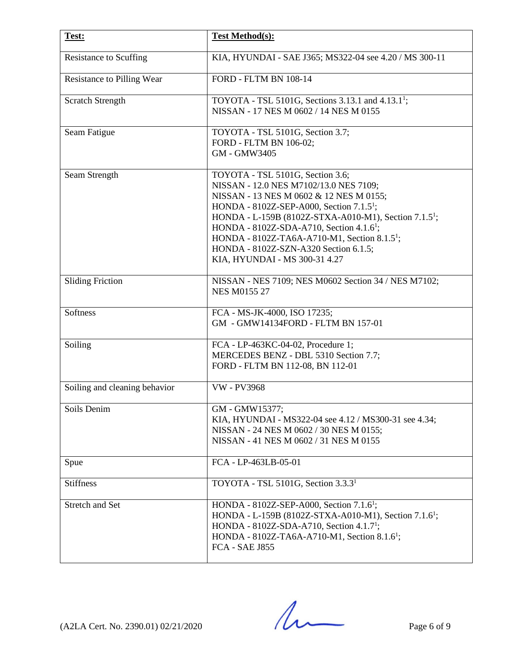| Test:                             | <b>Test Method(s):</b>                                                                                                                                                                                                                                                                                                                                                                                                                           |
|-----------------------------------|--------------------------------------------------------------------------------------------------------------------------------------------------------------------------------------------------------------------------------------------------------------------------------------------------------------------------------------------------------------------------------------------------------------------------------------------------|
| <b>Resistance to Scuffing</b>     | KIA, HYUNDAI - SAE J365; MS322-04 see 4.20 / MS 300-11                                                                                                                                                                                                                                                                                                                                                                                           |
| <b>Resistance to Pilling Wear</b> | <b>FORD - FLTM BN 108-14</b>                                                                                                                                                                                                                                                                                                                                                                                                                     |
| <b>Scratch Strength</b>           | TOYOTA - TSL 5101G, Sections 3.13.1 and 4.13.1 <sup>1</sup> ;<br>NISSAN - 17 NES M 0602 / 14 NES M 0155                                                                                                                                                                                                                                                                                                                                          |
| Seam Fatigue                      | TOYOTA - TSL 5101G, Section 3.7;<br>FORD - FLTM BN 106-02;<br>GM - GMW3405                                                                                                                                                                                                                                                                                                                                                                       |
| Seam Strength                     | TOYOTA - TSL 5101G, Section 3.6;<br>NISSAN - 12.0 NES M7102/13.0 NES 7109;<br>NISSAN - 13 NES M 0602 & 12 NES M 0155;<br>HONDA - 8102Z-SEP-A000, Section 7.1.5 <sup>1</sup> ;<br>HONDA - L-159B (8102Z-STXA-A010-M1), Section 7.1.5 <sup>1</sup> ;<br>HONDA - 8102Z-SDA-A710, Section 4.1.6 <sup>1</sup> ;<br>HONDA - 8102Z-TA6A-A710-M1, Section 8.1.5 <sup>1</sup> ;<br>HONDA - 8102Z-SZN-A320 Section 6.1.5;<br>KIA, HYUNDAI - MS 300-31 4.27 |
| <b>Sliding Friction</b>           | NISSAN - NES 7109; NES M0602 Section 34 / NES M7102;<br><b>NES M0155 27</b>                                                                                                                                                                                                                                                                                                                                                                      |
| Softness                          | FCA - MS-JK-4000, ISO 17235;<br>GM - GMW14134FORD - FLTM BN 157-01                                                                                                                                                                                                                                                                                                                                                                               |
| Soiling                           | FCA - LP-463KC-04-02, Procedure 1;<br>MERCEDES BENZ - DBL 5310 Section 7.7;<br>FORD - FLTM BN 112-08, BN 112-01                                                                                                                                                                                                                                                                                                                                  |
| Soiling and cleaning behavior     | <b>VW - PV3968</b>                                                                                                                                                                                                                                                                                                                                                                                                                               |
| Soils Denim                       | GM - GMW15377;<br>KIA, HYUNDAI - MS322-04 see 4.12 / MS300-31 see 4.34;<br>NISSAN - 24 NES M 0602 / 30 NES M 0155;<br>NISSAN - 41 NES M 0602 / 31 NES M 0155                                                                                                                                                                                                                                                                                     |
| Spue                              | FCA - LP-463LB-05-01                                                                                                                                                                                                                                                                                                                                                                                                                             |
| <b>Stiffness</b>                  | TOYOTA - TSL 5101G, Section 3.3.3 <sup>1</sup>                                                                                                                                                                                                                                                                                                                                                                                                   |
| Stretch and Set                   | HONDA - 8102Z-SEP-A000, Section 7.1.6 <sup>1</sup> ;<br>HONDA - L-159B (8102Z-STXA-A010-M1), Section 7.1.6 <sup>1</sup> ;<br>HONDA - 8102Z-SDA-A710, Section 4.1.7 <sup>1</sup> ;<br>HONDA - 8102Z-TA6A-A710-M1, Section 8.1.6 <sup>1</sup> ;<br>FCA - SAE J855                                                                                                                                                                                  |

 $(A2LA$  Cert. No. 2390.01) 02/21/2020 Page 6 of 9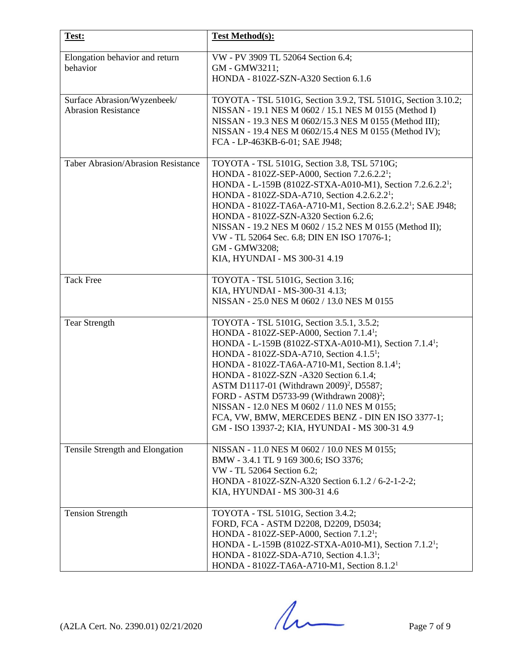| Test:                                                     | <b>Test Method(s):</b>                                                                                                                                                                                                                                                                                                                                                                                                                                                                                                                                                                                       |
|-----------------------------------------------------------|--------------------------------------------------------------------------------------------------------------------------------------------------------------------------------------------------------------------------------------------------------------------------------------------------------------------------------------------------------------------------------------------------------------------------------------------------------------------------------------------------------------------------------------------------------------------------------------------------------------|
| Elongation behavior and return<br>behavior                | VW - PV 3909 TL 52064 Section 6.4;<br>GM - GMW3211;<br>HONDA - 8102Z-SZN-A320 Section 6.1.6                                                                                                                                                                                                                                                                                                                                                                                                                                                                                                                  |
| Surface Abrasion/Wyzenbeek/<br><b>Abrasion Resistance</b> | TOYOTA - TSL 5101G, Section 3.9.2, TSL 5101G, Section 3.10.2;<br>NISSAN - 19.1 NES M 0602 / 15.1 NES M 0155 (Method I)<br>NISSAN - 19.3 NES M 0602/15.3 NES M 0155 (Method III);<br>NISSAN - 19.4 NES M 0602/15.4 NES M 0155 (Method IV);<br>FCA - LP-463KB-6-01; SAE J948;                                                                                                                                                                                                                                                                                                                                  |
| <b>Taber Abrasion/Abrasion Resistance</b>                 | TOYOTA - TSL 5101G, Section 3.8, TSL 5710G;<br>HONDA - 8102Z-SEP-A000, Section 7.2.6.2.2 <sup>1</sup> ;<br>HONDA - L-159B (8102Z-STXA-A010-M1), Section 7.2.6.2.2 <sup>1</sup> ;<br>HONDA - 8102Z-SDA-A710, Section 4.2.6.2.2 <sup>1</sup> ;<br>HONDA - 8102Z-TA6A-A710-M1, Section 8.2.6.2.2 <sup>1</sup> ; SAE J948;<br>HONDA - 8102Z-SZN-A320 Section 6.2.6;<br>NISSAN - 19.2 NES M 0602 / 15.2 NES M 0155 (Method II);<br>VW - TL 52064 Sec. 6.8; DIN EN ISO 17076-1;<br>GM - GMW3208;<br>KIA, HYUNDAI - MS 300-31 4.19                                                                                  |
| <b>Tack Free</b>                                          | TOYOTA - TSL 5101G, Section 3.16;<br>KIA, HYUNDAI - MS-300-31 4.13;<br>NISSAN - 25.0 NES M 0602 / 13.0 NES M 0155                                                                                                                                                                                                                                                                                                                                                                                                                                                                                            |
| <b>Tear Strength</b>                                      | TOYOTA - TSL 5101G, Section 3.5.1, 3.5.2;<br>HONDA - $8102Z$ -SEP-A000, Section 7.1.4 <sup>1</sup> ;<br>HONDA - L-159B (8102Z-STXA-A010-M1), Section 7.1.4 <sup>1</sup> ;<br>HONDA - 8102Z-SDA-A710, Section 4.1.5 <sup>1</sup> ;<br>HONDA - 8102Z-TA6A-A710-M1, Section 8.1.4 <sup>1</sup> ;<br>HONDA - 8102Z-SZN -A320 Section 6.1.4;<br>ASTM D1117-01 (Withdrawn 2009) <sup>2</sup> , D5587;<br>FORD - ASTM D5733-99 (Withdrawn 2008) <sup>2</sup> ;<br>NISSAN - 12.0 NES M 0602 / 11.0 NES M 0155;<br>FCA, VW, BMW, MERCEDES BENZ - DIN EN ISO 3377-1;<br>GM - ISO 13937-2; KIA, HYUNDAI - MS 300-31 4.9 |
| Tensile Strength and Elongation                           | NISSAN - 11.0 NES M 0602 / 10.0 NES M 0155;<br>BMW - 3.4.1 TL 9 169 300.6; ISO 3376;<br>VW - TL 52064 Section 6.2;<br>HONDA - 8102Z-SZN-A320 Section 6.1.2 / 6-2-1-2-2;<br>KIA, HYUNDAI - MS 300-31 4.6                                                                                                                                                                                                                                                                                                                                                                                                      |
| <b>Tension Strength</b>                                   | TOYOTA - TSL 5101G, Section 3.4.2;<br>FORD, FCA - ASTM D2208, D2209, D5034;<br>HONDA - 8102Z-SEP-A000, Section 7.1.2 <sup>1</sup> ;<br>HONDA - L-159B (8102Z-STXA-A010-M1), Section 7.1.2 <sup>1</sup> ;<br>HONDA - 8102Z-SDA-A710, Section 4.1.3 <sup>1</sup> ;<br>HONDA - 8102Z-TA6A-A710-M1, Section 8.1.2 <sup>1</sup>                                                                                                                                                                                                                                                                                   |

 $(A2LA$  Cert. No. 2390.01) 02/21/2020 Page 7 of 9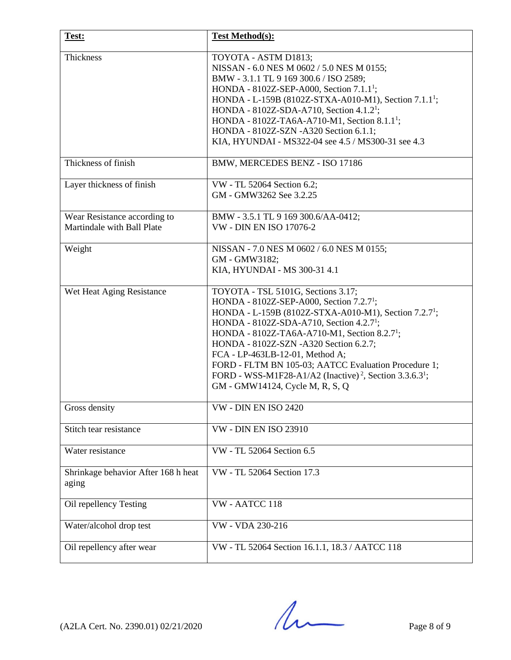| Test:                                                      | <b>Test Method(s):</b>                                                                                                                                                                                                                                                                                                                                                                                                                                                                                                                         |
|------------------------------------------------------------|------------------------------------------------------------------------------------------------------------------------------------------------------------------------------------------------------------------------------------------------------------------------------------------------------------------------------------------------------------------------------------------------------------------------------------------------------------------------------------------------------------------------------------------------|
| Thickness                                                  | TOYOTA - ASTM D1813;<br>NISSAN - 6.0 NES M 0602 / 5.0 NES M 0155;<br>BMW - 3.1.1 TL 9 169 300.6 / ISO 2589;<br>HONDA - $8102Z$ -SEP-A000, Section 7.1.1 <sup>1</sup> ;<br>HONDA - L-159B (8102Z-STXA-A010-M1), Section 7.1.1 <sup>1</sup> ;<br>HONDA - 8102Z-SDA-A710, Section 4.1.2 <sup>1</sup> ;<br>HONDA - 8102Z-TA6A-A710-M1, Section 8.1.1 <sup>1</sup> ;<br>HONDA - 8102Z-SZN -A320 Section 6.1.1;<br>KIA, HYUNDAI - MS322-04 see 4.5 / MS300-31 see 4.3                                                                                |
| Thickness of finish                                        | BMW, MERCEDES BENZ - ISO 17186                                                                                                                                                                                                                                                                                                                                                                                                                                                                                                                 |
| Layer thickness of finish                                  | VW - TL 52064 Section 6.2;<br>GM - GMW3262 See 3.2.25                                                                                                                                                                                                                                                                                                                                                                                                                                                                                          |
| Wear Resistance according to<br>Martindale with Ball Plate | BMW - 3.5.1 TL 9 169 300.6/AA-0412;<br><b>VW - DIN EN ISO 17076-2</b>                                                                                                                                                                                                                                                                                                                                                                                                                                                                          |
| Weight                                                     | NISSAN - 7.0 NES M 0602 / 6.0 NES M 0155;<br>GM - GMW3182;<br>KIA, HYUNDAI - MS 300-31 4.1                                                                                                                                                                                                                                                                                                                                                                                                                                                     |
| Wet Heat Aging Resistance                                  | TOYOTA - TSL 5101G, Sections 3.17;<br>HONDA - 8102Z-SEP-A000, Section 7.2.7 <sup>1</sup> ;<br>HONDA - L-159B (8102Z-STXA-A010-M1), Section 7.2.7 <sup>1</sup> ;<br>HONDA - 8102Z-SDA-A710, Section 4.2.7 <sup>1</sup> ;<br>HONDA - 8102Z-TA6A-A710-M1, Section 8.2.7 <sup>1</sup> ;<br>HONDA - 8102Z-SZN -A320 Section 6.2.7;<br>FCA - LP-463LB-12-01, Method A;<br>FORD - FLTM BN 105-03; AATCC Evaluation Procedure 1;<br>FORD - WSS-M1F28-A1/A2 (Inactive) <sup>2</sup> , Section 3.3.6.3 <sup>1</sup> ;<br>GM - GMW14124, Cycle M, R, S, Q |
| Gross density                                              | VW - DIN EN ISO 2420                                                                                                                                                                                                                                                                                                                                                                                                                                                                                                                           |
| Stitch tear resistance                                     | <b>VW - DIN EN ISO 23910</b>                                                                                                                                                                                                                                                                                                                                                                                                                                                                                                                   |
| Water resistance                                           | VW - TL 52064 Section 6.5                                                                                                                                                                                                                                                                                                                                                                                                                                                                                                                      |
| Shrinkage behavior After 168 h heat<br>aging               | VW - TL 52064 Section 17.3                                                                                                                                                                                                                                                                                                                                                                                                                                                                                                                     |
| Oil repellency Testing                                     | VW - AATCC 118                                                                                                                                                                                                                                                                                                                                                                                                                                                                                                                                 |
| Water/alcohol drop test                                    | VW - VDA 230-216                                                                                                                                                                                                                                                                                                                                                                                                                                                                                                                               |
| Oil repellency after wear                                  | VW - TL 52064 Section 16.1.1, 18.3 / AATCC 118                                                                                                                                                                                                                                                                                                                                                                                                                                                                                                 |

 $(A2LA$  Cert. No. 2390.01) 02/21/2020 Page 8 of 9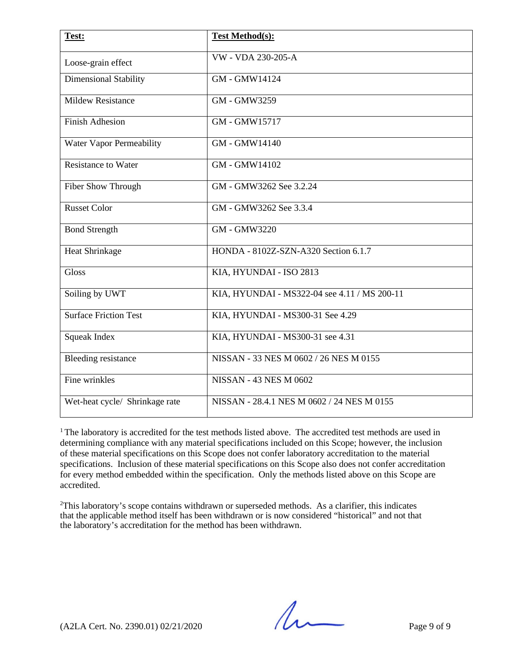| Test:                           | <b>Test Method(s):</b>                       |
|---------------------------------|----------------------------------------------|
| Loose-grain effect              | VW - VDA 230-205-A                           |
| <b>Dimensional Stability</b>    | GM - GMW14124                                |
| <b>Mildew Resistance</b>        | GM - GMW3259                                 |
| <b>Finish Adhesion</b>          | GM - GMW15717                                |
| <b>Water Vapor Permeability</b> | GM - GMW14140                                |
| <b>Resistance to Water</b>      | GM - GMW14102                                |
| Fiber Show Through              | GM - GMW3262 See 3.2.24                      |
| <b>Russet Color</b>             | GM - GMW3262 See 3.3.4                       |
| <b>Bond Strength</b>            | <b>GM - GMW3220</b>                          |
| <b>Heat Shrinkage</b>           | HONDA - 8102Z-SZN-A320 Section 6.1.7         |
| <b>Gloss</b>                    | KIA, HYUNDAI - ISO 2813                      |
| Soiling by UWT                  | KIA, HYUNDAI - MS322-04 see 4.11 / MS 200-11 |
| <b>Surface Friction Test</b>    | KIA, HYUNDAI - MS300-31 See 4.29             |
| <b>Squeak Index</b>             | KIA, HYUNDAI - MS300-31 see 4.31             |
| <b>Bleeding resistance</b>      | NISSAN - 33 NES M 0602 / 26 NES M 0155       |
| Fine wrinkles                   | <b>NISSAN - 43 NES M 0602</b>                |
| Wet-heat cycle/ Shrinkage rate  | NISSAN - 28.4.1 NES M 0602 / 24 NES M 0155   |

<sup>1</sup> The laboratory is accredited for the test methods listed above. The accredited test methods are used in determining compliance with any material specifications included on this Scope; however, the inclusion of these material specifications on this Scope does not confer laboratory accreditation to the material specifications. Inclusion of these material specifications on this Scope also does not confer accreditation for every method embedded within the specification. Only the methods listed above on this Scope are accredited.

<sup>2</sup>This laboratory's scope contains withdrawn or superseded methods. As a clarifier, this indicates that the applicable method itself has been withdrawn or is now considered "historical" and not that the laboratory's accreditation for the method has been withdrawn.

 $(A2LA$  Cert. No. 2390.01) 02/21/2020